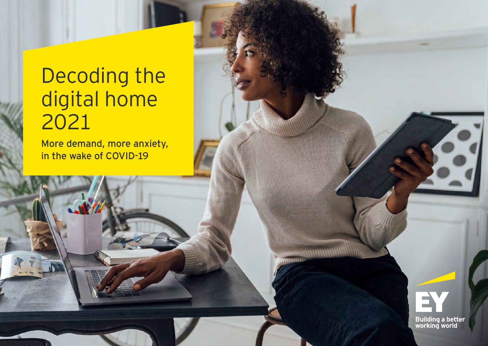# Decoding the digital home 2021

More demand, more anxiety, in the wake of COVID-19

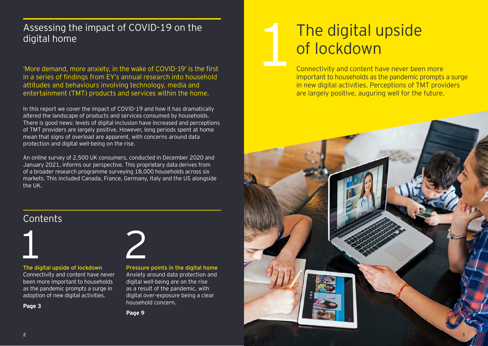### Assessing the impact of COVID-19 on the digital home

'More demand, more anxiety, in the wake of COVID-19' is the first in a series of findings from EY's annual research into household attitudes and behaviours involving technology, media and entertainment (TMT) products and services within the home.

In this report we cover the impact of COVID-19 and how it has dramatically altered the landscape of products and services consumed by households. There is good news: levels of digital inclusion have increased and perceptions of TMT providers are largely positive. However, long periods spent at home mean that signs of overload are apparent, with concerns around data protection and digital well-being on the rise.

An online survey of 2,500 UK consumers, conducted in December 2020 and January 2021, informs our perspective. This proprietary data derives from of a broader research programme surveying 18,000 households across six markets. This included Canada, France, Germany, Italy and the US alongside the UK.

# The digital upside of lockdown

Connectivity and content have never been more important to households as the pandemic prompts a surge in new digital activities. Perceptions of TMT providers are largely positive, auguring well for the future.



## **Contents**



#### The digital upside of lockdown

Connectivity and content have never been more important to households as the pandemic prompts a surge in adoption of new digital activities.

**Page 3**



Pressure points in the digital home Anxiety around data protection and digital well-being are on the rise as a result of the pandemic, with digital over-exposure being a clear household concern.

**Page 9**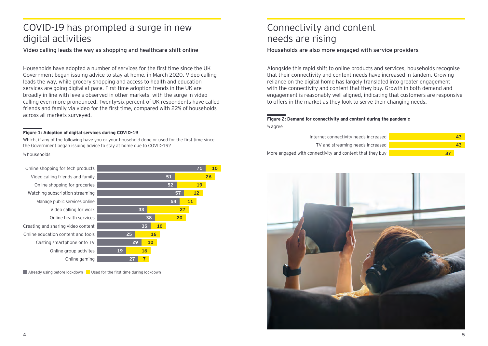### COVID-19 has prompted a surge in new digital activities

Video calling leads the way as shopping and healthcare shift online

Households have adopted a number of services for the first time since the UK Government began issuing advice to stay at home, in March 2020. Video calling leads the way, while grocery shopping and access to health and education services are going digital at pace. First-time adoption trends in the UK are broadly in line with levels observed in other markets, with the surge in video calling even more pronounced. Twenty-six percent of UK respondents have called friends and family via video for the first time, compared with 22% of households across all markets surveyed.

#### **Figure 1: Adoption of digital services during COVID-19**

Which, if any of the following have you or your household done or used for the first time since the Government began issuing advice to stay at home due to COVID-19?

#### % households



**Already using before lockdown** Used for the first time during lockdown

### Connectivity and content needs are rising

### Households are also more engaged with service providers

Alongside this rapid shift to online products and services, households recognise that their connectivity and content needs have increased in tandem. Growing reliance on the digital home has largely translated into greater engagement with the connectivity and content that they buy. Growth in both demand and engagement is reasonably well aligned, indicating that customers are responsive to offers in the market as they look to serve their changing needs.

#### **Figure 2: Demand for connectivity and content during the pandemic** % agree

Internet connectivity needs increased More engaged with connectivity and content that they buy TV and streaming needs increased **43 43 37**

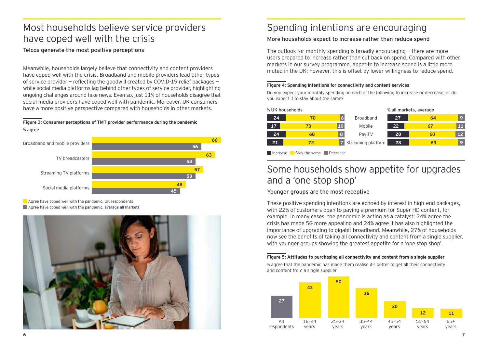### Most households believe service providers have coped well with the crisis

### Telcos generate the most positive perceptions

Meanwhile, households largely believe that connectivity and content providers have coped well with the crisis. Broadband and mobile providers lead other types of service provider — reflecting the goodwill created by COVID-19 relief packages while social media platforms lag behind other types of service provider, highlighting ongoing challenges around fake news. Even so, just 11% of households disagree that social media providers have coped well with pandemic. Moreover, UK consumers have a more positive perspective compared with households in other markets.

#### **Figure 3: Consumer perceptions of TMT provider performance during the pandemic** % agree



**Agree have coped well with the pandemic, UK respondents Agree have coped well with the pandemic, average all markets** 



## Spending intentions are encouraging

### More households expect to increase rather than reduce spend

The outlook for monthly spending is broadly encouraging  $-$  there are more users prepared to increase rather than cut back on spend. Compared with other markets in our survey programme, appetite to increase spend is a little more muted in the UK; however, this is offset by lower willingness to reduce spend.

### **Figure 4: Spending intentions for connectivity and content services**

Do you expect your monthly spending on each of the following to increase or decrease, or do you expect it to stay about the same?

| % UK households |    |    |                    | % all markets, average |    |              |
|-----------------|----|----|--------------------|------------------------|----|--------------|
| 24              | 70 | 6  | <b>Broadband</b>   | 27                     | 64 | $\mathbf{Q}$ |
| 17              | 73 | 10 | Mobile             | 22                     | 67 | Ħ            |
| 24              | 68 | ß. | Pay-TV             | 28                     | 60 | 12           |
| 21              |    |    | Streaming platform | 28                     | 63 | $\mathbf{Q}$ |
|                 |    |    |                    |                        |    |              |

Increase Stay the same Decrease

### Some households show appetite for upgrades and a 'one stop shop'

### Younger groups are the most receptive

These positive spending intentions are echoed by interest in high-end packages, with 22% of customers open to paying a premium for Super HD content, for example. In many cases, the pandemic is acting as a catalyst: 24% agree the crisis has made 5G more appealing and 24% agree it has also highlighted the importance of upgrading to gigabit broadband. Meanwhile, 27% of households now see the benefits of taking all connectivity and content from a single supplier, with younger groups showing the greatest appetite for a 'one stop shop'.

#### **Figure 5: Attitudes to purchasing all connectivity and content from a single supplier**

% agree that the pandemic has made them realise it's better to get all their connectivity and content from a single supplier

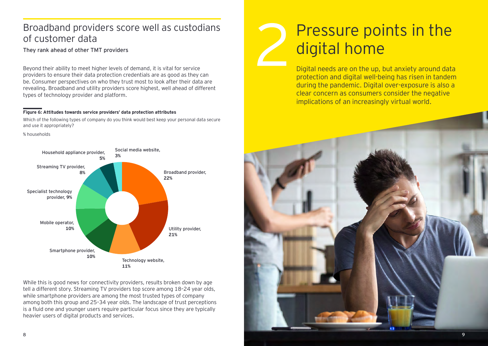### Broadband providers score well as custodians of customer data

They rank ahead of other TMT providers

Beyond their ability to meet higher levels of demand, it is vital for service providers to ensure their data protection credentials are as good as they can be. Consumer perspectives on who they trust most to look after their data are revealing. Broadband and utility providers score highest, well ahead of different types of technology provider and platform.

#### **Figure 6: Attitudes towards service providers' data protection attributes**

Which of the following types of company do you think would best keep your personal data secure and use it appropriately?

% households



While this is good news for connectivity providers, results broken down by age tell a different story. Streaming TV providers top score among 18–24 year olds, while smartphone providers are among the most trusted types of company among both this group and 25–34 year olds. The landscape of trust perceptions is a fluid one and younger users require particular focus since they are typically heavier users of digital products and services.

# Pressure points in the digital home

Digital needs are on the up, but anxiety around data protection and digital well-being has risen in tandem during the pandemic. Digital over-exposure is also a clear concern as consumers consider the negative implications of an increasingly virtual world.

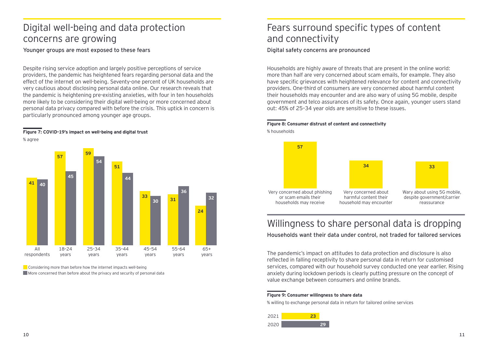### Digital well-being and data protection concerns are growing

Younger groups are most exposed to these fears

Despite rising service adoption and largely positive perceptions of service providers, the pandemic has heightened fears regarding personal data and the effect of the internet on well-being. Seventy-one percent of UK households are very cautious about disclosing personal data online. Our research reveals that the pandemic is heightening pre-existing anxieties, with four in ten households more likely to be considering their digital well-being or more concerned about personal data privacy compared with before the crisis. This uptick in concern is particularly pronounced among younger age groups.

#### **Figure 7: COVID-19's impact on well-being and digital trust** % agree



**Considering more than before how the internet impacts well-being** More concerned than before about the privacy and security of personal data

### Fears surround specific types of content and connectivity

#### Digital safety concerns are pronounced

Households are highly aware of threats that are present in the online world: more than half are very concerned about scam emails, for example. They also have specific grievances with heightened relevance for content and connectivity providers. One-third of consumers are very concerned about harmful content their households may encounter and are also wary of using 5G mobile, despite government and telco assurances of its safety. Once again, younger users stand out: 45% of 25–34 year olds are sensitive to these issues.

#### **Figure 8: Consumer distrust of content and connectivity** % households



## Willingness to share personal data is dropping

Households want their data under control, not traded for tailored services

The pandemic's impact on attitudes to data protection and disclosure is also reflected in falling receptivity to share personal data in return for customised services, compared with our household survey conducted one year earlier. Rising anxiety during lockdown periods is clearly putting pressure on the concept of value exchange between consumers and online brands.

#### **Figure 9: Consumer willingness to share data**

% willing to exchange personal data in return for tailored online services

| 2021 |  |
|------|--|
| 2020 |  |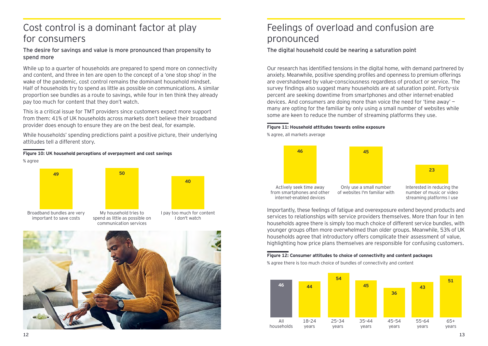### Cost control is a dominant factor at play for consumers

The desire for savings and value is more pronounced than propensity to spend more

While up to a quarter of households are prepared to spend more on connectivity and content, and three in ten are open to the concept of a 'one stop shop' in the wake of the pandemic, cost control remains the dominant household mindset. Half of households try to spend as little as possible on communications. A similar proportion see bundles as a route to savings, while four in ten think they already pay too much for content that they don't watch.

This is a critical issue for TMT providers since customers expect more support from them: 41% of UK households across markets don't believe their broadband provider does enough to ensure they are on the best deal, for example.

While households' spending predictions paint a positive picture, their underlying attitudes tell a different story.

**Figure 10: UK household perceptions of overpayment and cost savings**





### Feelings of overload and confusion are pronounced

#### The digital household could be nearing a saturation point

Our research has identified tensions in the digital home, with demand partnered by anxiety. Meanwhile, positive spending profiles and openness to premium offerings are overshadowed by value-consciousness regardless of product or service. The survey findings also suggest many households are at saturation point. Forty-six percent are seeking downtime from smartphones and other internet-enabled devices. And consumers are doing more than voice the need for 'time away' many are opting for the familiar by only using a small number of websites while some are keen to reduce the number of streaming platforms they use.

#### **Figure 11: Household attitudes towards online exposure**

% agree, all markets average



Importantly, these feelings of fatigue and overexposure extend beyond products and services to relationships with service providers themselves. More than four in ten households agree there is simply too much choice of different service bundles, with younger groups often more overwhelmed than older groups. Meanwhile, 53% of UK households agree that introductory offers complicate their assessment of value, highlighting how price plans themselves are responsible for confusing customers.

**Figure 12: Consumer attitudes to choice of connectivity and content packages** 

% agree there is too much choice of bundles of connectivity and content

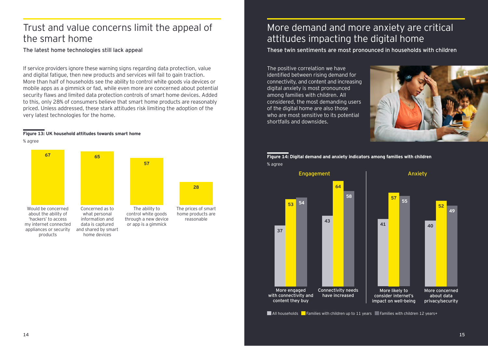### Trust and value concerns limit the appeal of the smart home

The latest home technologies still lack appeal

If service providers ignore these warning signs regarding data protection, value and digital fatigue, then new products and services will fail to gain traction. More than half of households see the ability to control white goods via devices or mobile apps as a gimmick or fad, while even more are concerned about potential security flaws and limited data protection controls of smart home devices. Added to this, only 28% of consumers believe that smart home products are reasonably priced. Unless addressed, these stark attitudes risk limiting the adoption of the very latest technologies for the home.

reasonable

**28**

#### **Figure 13: UK household attitudes towards smart home**

% agree



### More demand and more anxiety are critical attitudes impacting the digital home

### These twin sentiments are most pronounced in households with children

The positive correlation we have identified between rising demand for connectivity, and content and increasing digital anxiety is most pronounced among families with children. All considered, the most demanding users of the digital home are also those who are most sensitive to its potential shortfalls and downsides.



**Figure 14: Digital demand and anxiety indicators among families with children** % agree



**All households** Families with children up to 11 years Families with children 12 years+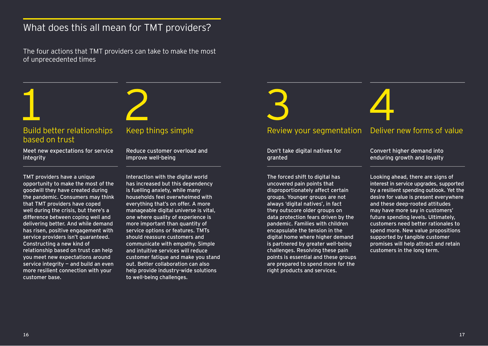## What does this all mean for TMT providers?

The four actions that TMT providers can take to make the most of unprecedented times

### Build better relationships based on trust

Meet new expectations for service integrity

TMT providers have a unique opportunity to make the most of the goodwill they have created during the pandemic. Consumers may think that TMT providers have coped well during the crisis, but there's a difference between coping well and delivering better. And while demand has risen, positive engagement with service providers isn't guaranteed. Constructing a new kind of relationship based on trust can help you meet new expectations around service integrity  $-$  and build an even more resilient connection with your customer base.

Reduce customer overload and improve well-being

Interaction with the digital world has increased but this dependency is fuelling anxiety, while many households feel overwhelmed with everything that's on offer. A more manageable digital universe is vital, one where quality of experience is more important than quantity of service options or features. TMTs should reassure customers and communicate with empathy. Simple and intuitive services will reduce customer fatigue and make you stand out. Better collaboration can also help provide industry-wide solutions to well-being challenges.

### Keep things simple The Review your segmentation Deliver new forms of value

Don't take digital natives for granted

The forced shift to digital has uncovered pain points that disproportionately affect certain groups. Younger groups are not always 'digital natives', in fact they outscore older groups on data protection fears driven by the pandemic. Families with children encapsulate the tension in the digital home where higher demand is partnered by greater well-being challenges. Resolving these pain points is essential and these groups are prepared to spend more for the right products and services.

Convert higher demand into enduring growth and loyalty

Looking ahead, there are signs of interest in service upgrades, supported by a resilient spending outlook. Yet the desire for value is present everywhere and these deep-rooted attitudes may have more say in customers' future spending levels. Ultimately, customers need better rationales to spend more. New value propositions supported by tangible customer promises will help attract and retain customers in the long term.